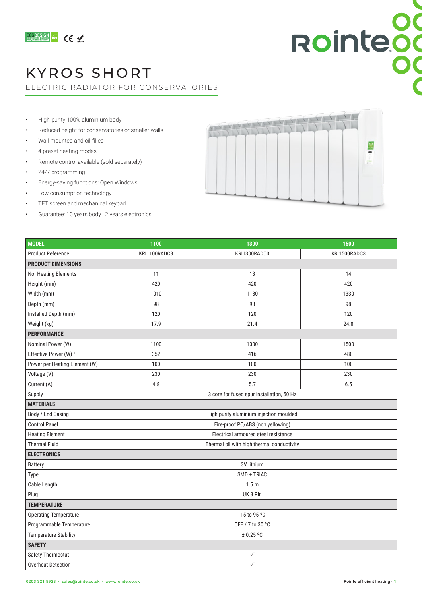

### KYROS SHORT

ELECTRIC RADIATOR FOR CONSERVATORIES

- High-purity 100% aluminium body
- Reduced height for conservatories or smaller walls
- Wall-mounted and oil-filled
- 4 preset heating modes
- Remote control available (sold separately)
- 24/7 programming
- Energy-saving functions: Open Windows
- Low consumption technology
- TFT screen and mechanical keypad
- Guarantee: 10 years body | 2 years electronics



Rointeod

| <b>MODEL</b>                     | 1100                                       | 1300         | 1500         |  |  |
|----------------------------------|--------------------------------------------|--------------|--------------|--|--|
| <b>Product Reference</b>         | KRI1100RADC3                               | KRI1300RADC3 | KRI1500RADC3 |  |  |
| <b>PRODUCT DIMENSIONS</b>        |                                            |              |              |  |  |
| No. Heating Elements             | 11                                         | 13           | 14           |  |  |
| Height (mm)                      | 420                                        | 420          | 420          |  |  |
| Width (mm)                       | 1010                                       | 1180         | 1330         |  |  |
| Depth (mm)                       | 98                                         | 98           | 98           |  |  |
| Installed Depth (mm)             | 120                                        | 120          | 120          |  |  |
| Weight (kg)                      | 17.9                                       | 21.4         | 24.8         |  |  |
| <b>PERFORMANCE</b>               |                                            |              |              |  |  |
| Nominal Power (W)                | 1100                                       | 1300         | 1500         |  |  |
| Effective Power (W) <sup>1</sup> | 352                                        | 416          | 480          |  |  |
| Power per Heating Element (W)    | 100                                        | 100          | 100          |  |  |
| Voltage (V)                      | 230                                        | 230          | 230          |  |  |
| Current (A)                      | 4.8                                        | 5.7          | 6.5          |  |  |
| Supply                           | 3 core for fused spur installation, 50 Hz  |              |              |  |  |
| <b>MATERIALS</b>                 |                                            |              |              |  |  |
| Body / End Casing                | High purity aluminium injection moulded    |              |              |  |  |
| <b>Control Panel</b>             | Fire-proof PC/ABS (non yellowing)          |              |              |  |  |
| <b>Heating Element</b>           | Electrical armoured steel resistance       |              |              |  |  |
| <b>Thermal Fluid</b>             | Thermal oil with high thermal conductivity |              |              |  |  |
| <b>ELECTRONICS</b>               |                                            |              |              |  |  |
| <b>Battery</b>                   | 3V lithium                                 |              |              |  |  |
| Type                             | SMD + TRIAC                                |              |              |  |  |
| Cable Length                     | 1.5 <sub>m</sub>                           |              |              |  |  |
| Plug                             | UK 3 Pin                                   |              |              |  |  |
| <b>TEMPERATURE</b>               |                                            |              |              |  |  |
| <b>Operating Temperature</b>     | -15 to 95 °C                               |              |              |  |  |
| Programmable Temperature         | OFF / 7 to 30 °C                           |              |              |  |  |
| <b>Temperature Stability</b>     | $\pm$ 0.25 °C                              |              |              |  |  |
| <b>SAFETY</b>                    |                                            |              |              |  |  |
| Safety Thermostat                | ✓                                          |              |              |  |  |
| <b>Overheat Detection</b>        | $\checkmark$                               |              |              |  |  |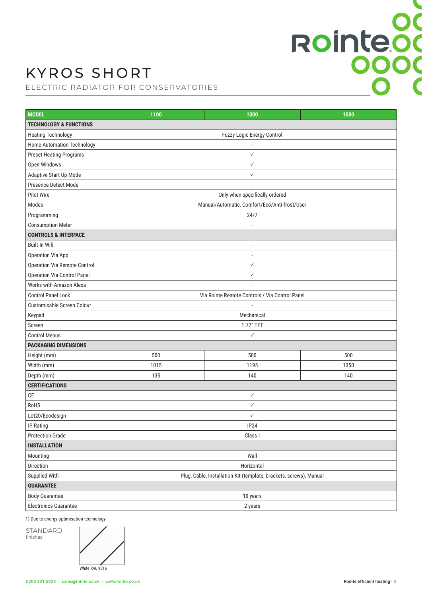## KYROS SHORT

ELECTRIC RADIATOR FOR CONSERVATORIES

| <b>MODEL</b>                        | 1100                                                               | 1300 | 1500 |  |  |
|-------------------------------------|--------------------------------------------------------------------|------|------|--|--|
| <b>TECHNOLOGY &amp; FUNCTIONS</b>   |                                                                    |      |      |  |  |
| <b>Heating Technology</b>           | Fuzzy Logic Energy Control                                         |      |      |  |  |
| <b>Home Automation Technology</b>   |                                                                    |      |      |  |  |
| <b>Preset Heating Programs</b>      | $\checkmark$                                                       |      |      |  |  |
| Open Windows                        | $\checkmark$                                                       |      |      |  |  |
| Adaptive Start Up Mode              | $\checkmark$                                                       |      |      |  |  |
| Presence Detect Mode                |                                                                    |      |      |  |  |
| <b>Pilot Wire</b>                   | Only when specifically ordered                                     |      |      |  |  |
| Modes                               | Manual/Automatic, Comfort/Eco/Anti-frost/User                      |      |      |  |  |
| Programming                         | 24/7                                                               |      |      |  |  |
| <b>Consumption Meter</b>            |                                                                    |      |      |  |  |
| <b>CONTROLS &amp; INTERFACE</b>     |                                                                    |      |      |  |  |
| Built-In Wifi                       | ÷,                                                                 |      |      |  |  |
| Operation Via App                   | Ĭ.                                                                 |      |      |  |  |
| <b>Operation Via Remote Control</b> | $\checkmark$                                                       |      |      |  |  |
| <b>Operation Via Control Panel</b>  | $\checkmark$                                                       |      |      |  |  |
| Works with Amazon Alexa             |                                                                    |      |      |  |  |
| <b>Control Panel Lock</b>           | Via Rointe Remote Controls / Via Control Panel                     |      |      |  |  |
| Customisable Screen Colour          |                                                                    |      |      |  |  |
| Keypad                              | Mechanical                                                         |      |      |  |  |
| Screen                              | 1.77" TFT                                                          |      |      |  |  |
| <b>Control Menus</b>                | $\checkmark$                                                       |      |      |  |  |
| <b>PACKAGING DIMENSIONS</b>         |                                                                    |      |      |  |  |
| Height (mm)                         | 500                                                                | 500  | 500  |  |  |
| Width (mm)                          | 1015                                                               | 1195 | 1350 |  |  |
| Depth (mm)                          | 135                                                                | 140  | 140  |  |  |
| <b>CERTIFICATIONS</b>               |                                                                    |      |      |  |  |
| CE                                  | $\checkmark$                                                       |      |      |  |  |
| RoHS                                | $\checkmark$                                                       |      |      |  |  |
| Lot20/Ecodesign                     | $\checkmark$                                                       |      |      |  |  |
| IP Rating                           | IP24                                                               |      |      |  |  |
| <b>Protection Grade</b>             | Class I                                                            |      |      |  |  |
| <b>INSTALLATION</b>                 |                                                                    |      |      |  |  |
| Mounting                            | Wall                                                               |      |      |  |  |
| Direction                           | Horizontal                                                         |      |      |  |  |
| Supplied With                       | Plug, Cable, Installation Kit (template, brackets, screws), Manual |      |      |  |  |
| <b>GUARANTEE</b>                    |                                                                    |      |      |  |  |
| <b>Body Guarantee</b>               | 10 years                                                           |      |      |  |  |
| <b>Electronics Guarantee</b>        | 2 years                                                            |      |      |  |  |

1) Due to energy optimisation technology.

STANDARD finishes



Rointeod